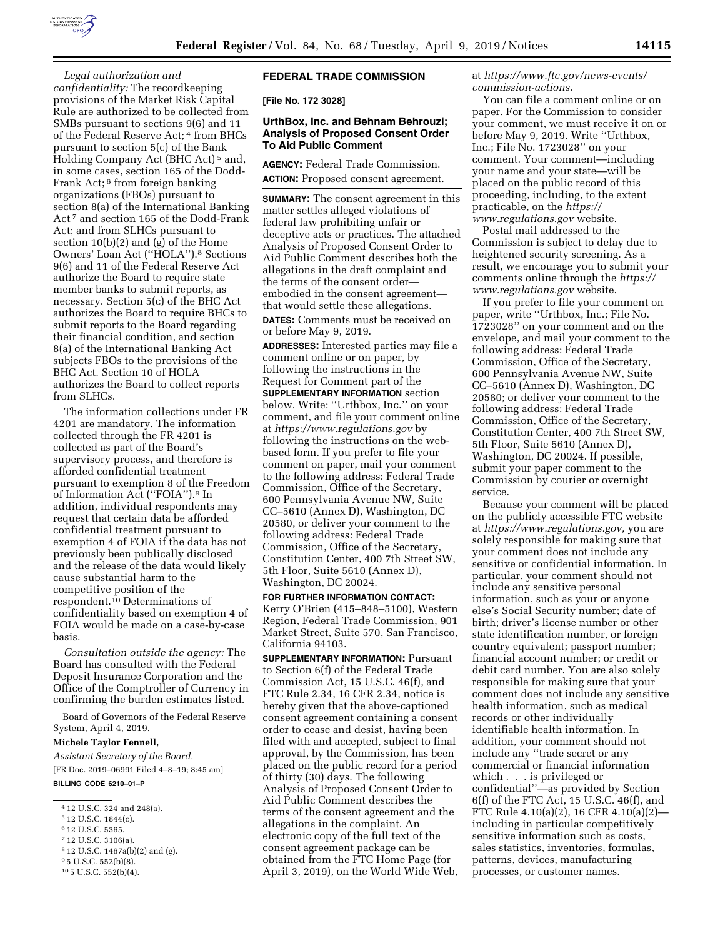

*Legal authorization and confidentiality:* The recordkeeping provisions of the Market Risk Capital Rule are authorized to be collected from SMBs pursuant to sections 9(6) and 11 of the Federal Reserve Act; 4 from BHCs pursuant to section 5(c) of the Bank Holding Company Act (BHC Act) 5 and, in some cases, section 165 of the Dodd-Frank Act; 6 from foreign banking organizations (FBOs) pursuant to section 8(a) of the International Banking Act 7 and section 165 of the Dodd-Frank Act; and from SLHCs pursuant to section 10(b)(2) and (g) of the Home Owners' Loan Act (''HOLA'').8 Sections 9(6) and 11 of the Federal Reserve Act authorize the Board to require state member banks to submit reports, as necessary. Section 5(c) of the BHC Act authorizes the Board to require BHCs to submit reports to the Board regarding their financial condition, and section 8(a) of the International Banking Act subjects FBOs to the provisions of the BHC Act. Section 10 of HOLA authorizes the Board to collect reports from SLHCs.

The information collections under FR 4201 are mandatory. The information collected through the FR 4201 is collected as part of the Board's supervisory process, and therefore is afforded confidential treatment pursuant to exemption 8 of the Freedom of Information Act (''FOIA'').9 In addition, individual respondents may request that certain data be afforded confidential treatment pursuant to exemption 4 of FOIA if the data has not previously been publically disclosed and the release of the data would likely cause substantial harm to the competitive position of the respondent.10 Determinations of confidentiality based on exemption 4 of FOIA would be made on a case-by-case basis.

*Consultation outside the agency:* The Board has consulted with the Federal Deposit Insurance Corporation and the Office of the Comptroller of Currency in confirming the burden estimates listed.

Board of Governors of the Federal Reserve System, April 4, 2019.

## **Michele Taylor Fennell,**

*Assistant Secretary of the Board.*  [FR Doc. 2019–06991 Filed 4–8–19; 8:45 am]

# **BILLING CODE 6210–01–P**

- 5 12 U.S.C. 1844(c).
- 6 12 U.S.C. 5365.
- 7 12 U.S.C. 3106(a).
- 8 12 U.S.C. 1467a(b)(2) and (g).

10 5 U.S.C. 552(b)(4).

## **FEDERAL TRADE COMMISSION**

**[File No. 172 3028]** 

## **UrthBox, Inc. and Behnam Behrouzi; Analysis of Proposed Consent Order To Aid Public Comment**

**AGENCY:** Federal Trade Commission. **ACTION:** Proposed consent agreement.

**SUMMARY:** The consent agreement in this matter settles alleged violations of federal law prohibiting unfair or deceptive acts or practices. The attached Analysis of Proposed Consent Order to Aid Public Comment describes both the allegations in the draft complaint and the terms of the consent order embodied in the consent agreement that would settle these allegations.

**DATES:** Comments must be received on or before May 9, 2019.

**ADDRESSES:** Interested parties may file a comment online or on paper, by following the instructions in the Request for Comment part of the **SUPPLEMENTARY INFORMATION** section below. Write: ''Urthbox, Inc.'' on your comment, and file your comment online at *<https://www.regulations.gov>* by following the instructions on the webbased form. If you prefer to file your comment on paper, mail your comment to the following address: Federal Trade Commission, Office of the Secretary, 600 Pennsylvania Avenue NW, Suite CC–5610 (Annex D), Washington, DC 20580, or deliver your comment to the following address: Federal Trade Commission, Office of the Secretary, Constitution Center, 400 7th Street SW, 5th Floor, Suite 5610 (Annex D), Washington, DC 20024.

**FOR FURTHER INFORMATION CONTACT:**  Kerry O'Brien (415–848–5100), Western Region, Federal Trade Commission, 901 Market Street, Suite 570, San Francisco, California 94103.

**SUPPLEMENTARY INFORMATION: Pursuant** to Section 6(f) of the Federal Trade Commission Act, 15 U.S.C. 46(f), and FTC Rule 2.34, 16 CFR 2.34, notice is hereby given that the above-captioned consent agreement containing a consent order to cease and desist, having been filed with and accepted, subject to final approval, by the Commission, has been placed on the public record for a period of thirty (30) days. The following Analysis of Proposed Consent Order to Aid Public Comment describes the terms of the consent agreement and the allegations in the complaint. An electronic copy of the full text of the consent agreement package can be obtained from the FTC Home Page (for April 3, 2019), on the World Wide Web, at *[https://www.ftc.gov/news-events/](https://www.ftc.gov/news-events/commission-actions)  [commission-actions.](https://www.ftc.gov/news-events/commission-actions)* 

You can file a comment online or on paper. For the Commission to consider your comment, we must receive it on or before May 9, 2019. Write ''Urthbox, Inc.; File No. 1723028'' on your comment. Your comment—including your name and your state—will be placed on the public record of this proceeding, including, to the extent practicable, on the *[https://](https://www.regulations.gov) [www.regulations.gov](https://www.regulations.gov)* website.

Postal mail addressed to the Commission is subject to delay due to heightened security screening. As a result, we encourage you to submit your comments online through the *[https://](https://www.regulations.gov) [www.regulations.gov](https://www.regulations.gov)* website.

If you prefer to file your comment on paper, write ''Urthbox, Inc.; File No. 1723028'' on your comment and on the envelope, and mail your comment to the following address: Federal Trade Commission, Office of the Secretary, 600 Pennsylvania Avenue NW, Suite CC–5610 (Annex D), Washington, DC 20580; or deliver your comment to the following address: Federal Trade Commission, Office of the Secretary, Constitution Center, 400 7th Street SW, 5th Floor, Suite 5610 (Annex D), Washington, DC 20024. If possible, submit your paper comment to the Commission by courier or overnight service.

Because your comment will be placed on the publicly accessible FTC website at *[https://www.regulations.gov,](https://www.regulations.gov)* you are solely responsible for making sure that your comment does not include any sensitive or confidential information. In particular, your comment should not include any sensitive personal information, such as your or anyone else's Social Security number; date of birth; driver's license number or other state identification number, or foreign country equivalent; passport number; financial account number; or credit or debit card number. You are also solely responsible for making sure that your comment does not include any sensitive health information, such as medical records or other individually identifiable health information. In addition, your comment should not include any ''trade secret or any commercial or financial information which . . . is privileged or confidential''—as provided by Section 6(f) of the FTC Act, 15 U.S.C. 46(f), and FTC Rule 4.10(a)(2), 16 CFR 4.10(a)(2) including in particular competitively sensitive information such as costs, sales statistics, inventories, formulas, patterns, devices, manufacturing processes, or customer names.

<sup>4</sup> 12 U.S.C. 324 and 248(a).

<sup>9</sup> 5 U.S.C. 552(b)(8).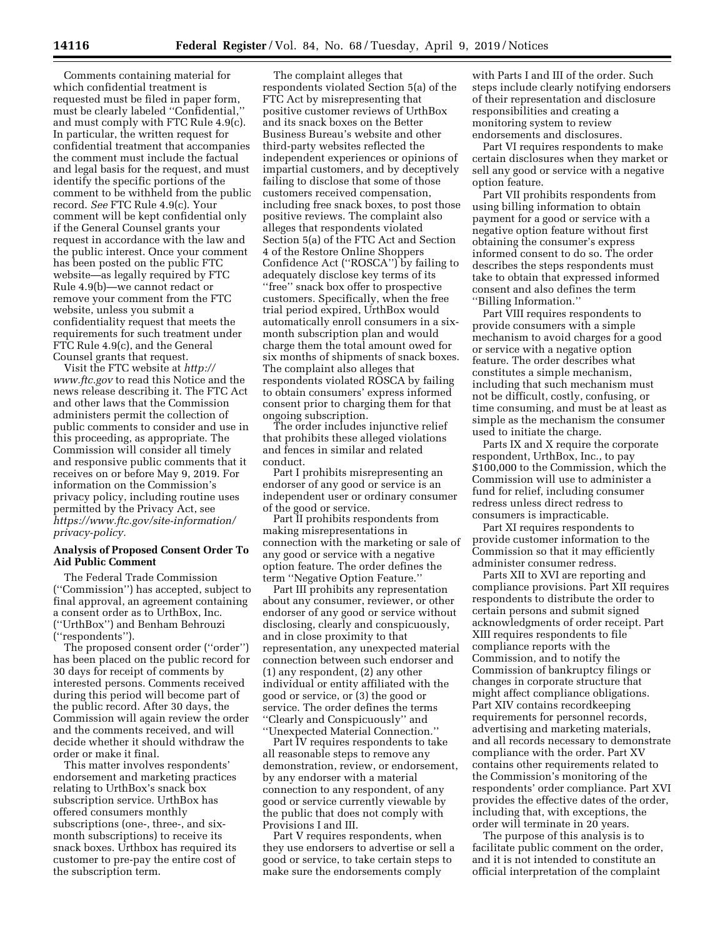Comments containing material for which confidential treatment is requested must be filed in paper form, must be clearly labeled ''Confidential,'' and must comply with FTC Rule 4.9(c). In particular, the written request for confidential treatment that accompanies the comment must include the factual and legal basis for the request, and must identify the specific portions of the comment to be withheld from the public record. *See* FTC Rule 4.9(c). Your comment will be kept confidential only if the General Counsel grants your request in accordance with the law and the public interest. Once your comment has been posted on the public FTC website—as legally required by FTC Rule 4.9(b)—we cannot redact or remove your comment from the FTC website, unless you submit a confidentiality request that meets the requirements for such treatment under FTC Rule 4.9(c), and the General Counsel grants that request.

Visit the FTC website at *[http://](http://www.ftc.gov) [www.ftc.gov](http://www.ftc.gov)* to read this Notice and the news release describing it. The FTC Act and other laws that the Commission administers permit the collection of public comments to consider and use in this proceeding, as appropriate. The Commission will consider all timely and responsive public comments that it receives on or before May 9, 2019. For information on the Commission's privacy policy, including routine uses permitted by the Privacy Act, see *[https://www.ftc.gov/site-information/](https://www.ftc.gov/site-information/privacy-policy) [privacy-policy.](https://www.ftc.gov/site-information/privacy-policy)* 

### **Analysis of Proposed Consent Order To Aid Public Comment**

The Federal Trade Commission (''Commission'') has accepted, subject to final approval, an agreement containing a consent order as to UrthBox, Inc. (''UrthBox'') and Benham Behrouzi (''respondents'').

The proposed consent order (''order'') has been placed on the public record for 30 days for receipt of comments by interested persons. Comments received during this period will become part of the public record. After 30 days, the Commission will again review the order and the comments received, and will decide whether it should withdraw the order or make it final.

This matter involves respondents' endorsement and marketing practices relating to UrthBox's snack box subscription service. UrthBox has offered consumers monthly subscriptions (one-, three-, and sixmonth subscriptions) to receive its snack boxes. Urthbox has required its customer to pre-pay the entire cost of the subscription term.

The complaint alleges that respondents violated Section 5(a) of the FTC Act by misrepresenting that positive customer reviews of UrthBox and its snack boxes on the Better Business Bureau's website and other third-party websites reflected the independent experiences or opinions of impartial customers, and by deceptively failing to disclose that some of those customers received compensation, including free snack boxes, to post those positive reviews. The complaint also alleges that respondents violated Section 5(a) of the FTC Act and Section 4 of the Restore Online Shoppers Confidence Act (''ROSCA'') by failing to adequately disclose key terms of its ''free'' snack box offer to prospective customers. Specifically, when the free trial period expired, UrthBox would automatically enroll consumers in a sixmonth subscription plan and would charge them the total amount owed for six months of shipments of snack boxes. The complaint also alleges that respondents violated ROSCA by failing to obtain consumers' express informed consent prior to charging them for that ongoing subscription.

The order includes injunctive relief that prohibits these alleged violations and fences in similar and related conduct.

Part I prohibits misrepresenting an endorser of any good or service is an independent user or ordinary consumer of the good or service.

Part II prohibits respondents from making misrepresentations in connection with the marketing or sale of any good or service with a negative option feature. The order defines the term ''Negative Option Feature.''

Part III prohibits any representation about any consumer, reviewer, or other endorser of any good or service without disclosing, clearly and conspicuously, and in close proximity to that representation, any unexpected material connection between such endorser and (1) any respondent, (2) any other individual or entity affiliated with the good or service, or (3) the good or service. The order defines the terms ''Clearly and Conspicuously'' and ''Unexpected Material Connection.''

Part IV requires respondents to take all reasonable steps to remove any demonstration, review, or endorsement, by any endorser with a material connection to any respondent, of any good or service currently viewable by the public that does not comply with Provisions I and III.

Part V requires respondents, when they use endorsers to advertise or sell a good or service, to take certain steps to make sure the endorsements comply

with Parts I and III of the order. Such steps include clearly notifying endorsers of their representation and disclosure responsibilities and creating a monitoring system to review endorsements and disclosures.

Part VI requires respondents to make certain disclosures when they market or sell any good or service with a negative option feature.

Part VII prohibits respondents from using billing information to obtain payment for a good or service with a negative option feature without first obtaining the consumer's express informed consent to do so. The order describes the steps respondents must take to obtain that expressed informed consent and also defines the term ''Billing Information.''

Part VIII requires respondents to provide consumers with a simple mechanism to avoid charges for a good or service with a negative option feature. The order describes what constitutes a simple mechanism, including that such mechanism must not be difficult, costly, confusing, or time consuming, and must be at least as simple as the mechanism the consumer used to initiate the charge.

Parts IX and X require the corporate respondent, UrthBox, Inc., to pay \$100,000 to the Commission, which the Commission will use to administer a fund for relief, including consumer redress unless direct redress to consumers is impracticable.

Part XI requires respondents to provide customer information to the Commission so that it may efficiently administer consumer redress.

Parts XII to XVI are reporting and compliance provisions. Part XII requires respondents to distribute the order to certain persons and submit signed acknowledgments of order receipt. Part XIII requires respondents to file compliance reports with the Commission, and to notify the Commission of bankruptcy filings or changes in corporate structure that might affect compliance obligations. Part XIV contains recordkeeping requirements for personnel records, advertising and marketing materials, and all records necessary to demonstrate compliance with the order. Part XV contains other requirements related to the Commission's monitoring of the respondents' order compliance. Part XVI provides the effective dates of the order, including that, with exceptions, the order will terminate in 20 years.

The purpose of this analysis is to facilitate public comment on the order, and it is not intended to constitute an official interpretation of the complaint